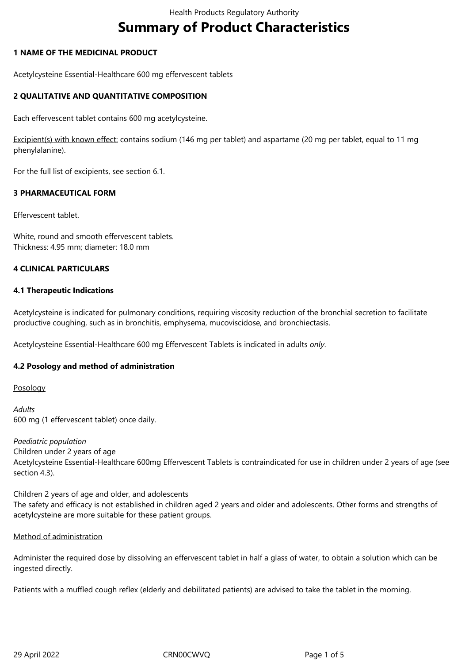# **Summary of Product Characteristics**

# **1 NAME OF THE MEDICINAL PRODUCT**

Acetylcysteine Essential-Healthcare 600 mg effervescent tablets

# **2 QUALITATIVE AND QUANTITATIVE COMPOSITION**

Each effervescent tablet contains 600 mg acetylcysteine.

Excipient(s) with known effect: contains sodium (146 mg per tablet) and aspartame (20 mg per tablet, equal to 11 mg phenylalanine).

For the full list of excipients, see section 6.1.

# **3 PHARMACEUTICAL FORM**

Effervescent tablet.

White, round and smooth effervescent tablets. Thickness: 4.95 mm; diameter: 18.0 mm

# **4 CLINICAL PARTICULARS**

# **4.1 Therapeutic Indications**

Acetylcysteine is indicated for pulmonary conditions, requiring viscosity reduction of the bronchial secretion to facilitate productive coughing, such as in bronchitis, emphysema, mucoviscidose, and bronchiectasis.

Acetylcysteine Essential-Healthcare 600 mg Effervescent Tablets is indicated in adults *only*.

# **4.2 Posology and method of administration**

Posology

*Adults* 600 mg (1 effervescent tablet) once daily.

*Paediatric population* Children under 2 years of age Acetylcysteine Essential-Healthcare 600mg Effervescent Tablets is contraindicated for use in children under 2 years of age (see section 4.3).

Children 2 years of age and older, and adolescents The safety and efficacy is not established in children aged 2 years and older and adolescents. Other forms and strengths of acetylcysteine are more suitable for these patient groups.

# Method of administration

Administer the required dose by dissolving an effervescent tablet in half a glass of water, to obtain a solution which can be ingested directly.

Patients with a muffled cough reflex (elderly and debilitated patients) are advised to take the tablet in the morning.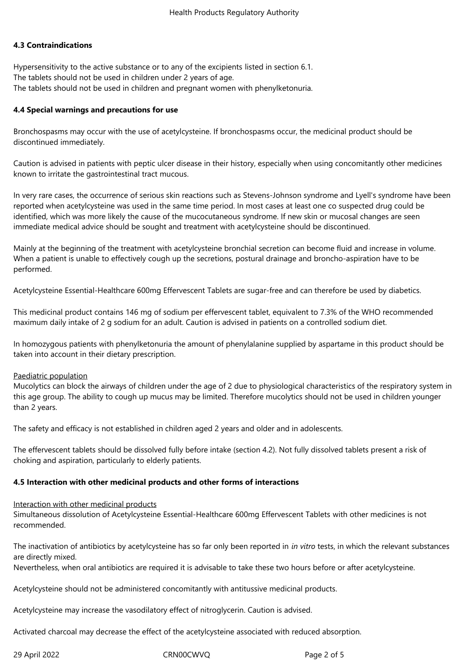# **4.3 Contraindications**

Hypersensitivity to the active substance or to any of the excipients listed in section 6.1. The tablets should not be used in children under 2 years of age. The tablets should not be used in children and pregnant women with phenylketonuria.

#### **4.4 Special warnings and precautions for use**

Bronchospasms may occur with the use of acetylcysteine. If bronchospasms occur, the medicinal product should be discontinued immediately.

Caution is advised in patients with peptic ulcer disease in their history, especially when using concomitantly other medicines known to irritate the gastrointestinal tract mucous.

In very rare cases, the occurrence of serious skin reactions such as Stevens-Johnson syndrome and Lyell's syndrome have been reported when acetylcysteine was used in the same time period. In most cases at least one co suspected drug could be identified, which was more likely the cause of the mucocutaneous syndrome. If new skin or mucosal changes are seen immediate medical advice should be sought and treatment with acetylcysteine should be discontinued.

Mainly at the beginning of the treatment with acetylcysteine bronchial secretion can become fluid and increase in volume. When a patient is unable to effectively cough up the secretions, postural drainage and broncho-aspiration have to be performed.

Acetylcysteine Essential-Healthcare 600mg Effervescent Tablets are sugar-free and can therefore be used by diabetics.

This medicinal product contains 146 mg of sodium per effervescent tablet, equivalent to 7.3% of the WHO recommended maximum daily intake of 2 g sodium for an adult. Caution is advised in patients on a controlled sodium diet.

In homozygous patients with phenylketonuria the amount of phenylalanine supplied by aspartame in this product should be taken into account in their dietary prescription.

#### Paediatric population

Mucolytics can block the airways of children under the age of 2 due to physiological characteristics of the respiratory system in this age group. The ability to cough up mucus may be limited. Therefore mucolytics should not be used in children younger than 2 years.

The safety and efficacy is not established in children aged 2 years and older and in adolescents.

The effervescent tablets should be dissolved fully before intake (section 4.2). Not fully dissolved tablets present a risk of choking and aspiration, particularly to elderly patients.

# **4.5 Interaction with other medicinal products and other forms of interactions**

#### Interaction with other medicinal products

Simultaneous dissolution of Acetylcysteine Essential-Healthcare 600mg Effervescent Tablets with other medicines is not recommended.

The inactivation of antibiotics by acetylcysteine has so far only been reported in *in vitro* tests, in which the relevant substances are directly mixed.

Nevertheless, when oral antibiotics are required it is advisable to take these two hours before or after acetylcysteine.

Acetylcysteine should not be administered concomitantly with antitussive medicinal products.

Acetylcysteine may increase the vasodilatory effect of nitroglycerin. Caution is advised.

Activated charcoal may decrease the effect of the acetylcysteine associated with reduced absorption.

29 April 2022 CRN00CWVQ Page 2 of 5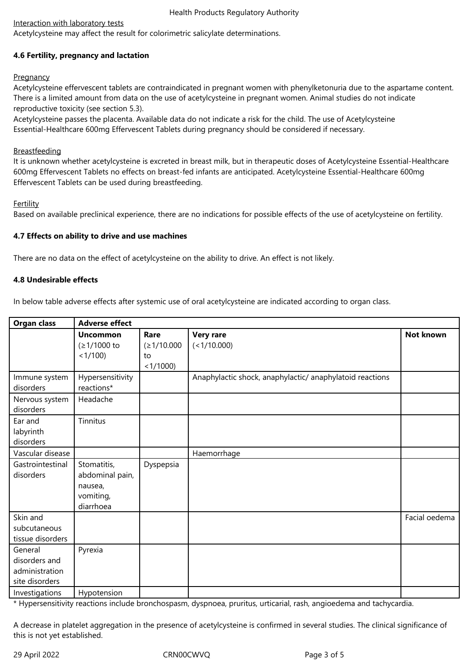# Interaction with laboratory tests

Acetylcysteine may affect the result for colorimetric salicylate determinations.

# **4.6 Fertility, pregnancy and lactation**

# **Pregnancy**

Acetylcysteine effervescent tablets are contraindicated in pregnant women with phenylketonuria due to the aspartame content. There is a limited amount from data on the use of acetylcysteine in pregnant women. Animal studies do not indicate reproductive toxicity (see section 5.3).

Acetylcysteine passes the placenta. Available data do not indicate a risk for the child. The use of Acetylcysteine Essential-Healthcare 600mg Effervescent Tablets during pregnancy should be considered if necessary.

# **Breastfeeding**

It is unknown whether acetylcysteine is excreted in breast milk, but in therapeutic doses of Acetylcysteine Essential-Healthcare 600mg Effervescent Tablets no effects on breast-fed infants are anticipated. Acetylcysteine Essential-Healthcare 600mg Effervescent Tablets can be used during breastfeeding.

# Fertility

Based on available preclinical experience, there are no indications for possible effects of the use of acetylcysteine on fertility.

# **4.7 Effects on ability to drive and use machines**

There are no data on the effect of acetylcysteine on the ability to drive. An effect is not likely.

# **4.8 Undesirable effects**

In below table adverse effects after systemic use of oral acetylcysteine are indicated according to organ class.

| <b>Organ class</b>                                           | <b>Adverse effect</b>                                               |                                         |                                                          |                  |
|--------------------------------------------------------------|---------------------------------------------------------------------|-----------------------------------------|----------------------------------------------------------|------------------|
|                                                              | <b>Uncommon</b><br>(≥1/1000 to<br>< 1/100                           | Rare<br>(≥1/10.000<br>to<br>$<1/1000$ ) | <b>Very rare</b><br>(<1/10.000)                          | <b>Not known</b> |
| Immune system<br>disorders                                   | Hypersensitivity<br>reactions*                                      |                                         | Anaphylactic shock, anaphylactic/ anaphylatoid reactions |                  |
| Nervous system<br>disorders                                  | Headache                                                            |                                         |                                                          |                  |
| Ear and<br>labyrinth<br>disorders                            | Tinnitus                                                            |                                         |                                                          |                  |
| Vascular disease                                             |                                                                     |                                         | Haemorrhage                                              |                  |
| Gastrointestinal<br>disorders                                | Stomatitis,<br>abdominal pain,<br>nausea,<br>vomiting,<br>diarrhoea | Dyspepsia                               |                                                          |                  |
| Skin and<br>subcutaneous<br>tissue disorders                 |                                                                     |                                         |                                                          | Facial oedema    |
| General<br>disorders and<br>administration<br>site disorders | Pyrexia                                                             |                                         |                                                          |                  |
| Investigations                                               | Hypotension                                                         |                                         |                                                          |                  |

\* Hypersensitivity reactions include bronchospasm, dyspnoea, pruritus, urticarial, rash, angioedema and tachycardia.

A decrease in platelet aggregation in the presence of acetylcysteine is confirmed in several studies. The clinical significance of this is not yet established.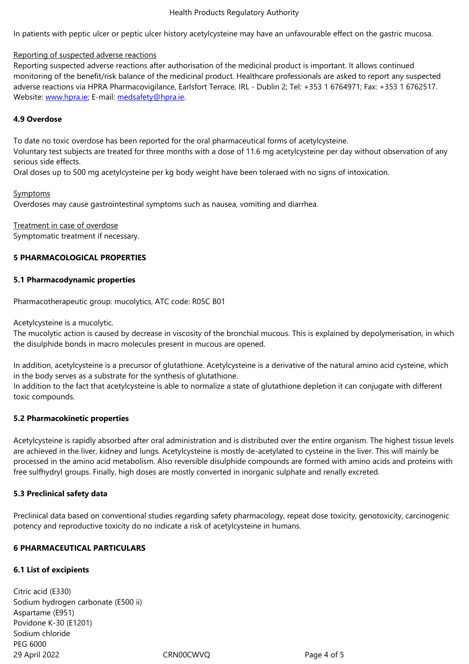# Reporting of suspected adverse reactions

Reporting suspected adverse reactions after authorisation of the medicinal product is important. It allows continued monitoring of the benefit/risk balance of the medicinal product. Healthcare professionals are asked to report any suspected adverse reactions via HPRA Pharmacovigilance, Earlsfort Terrace, IRL - Dublin 2; Tel: +353 1 6764971; Fax: +353 1 6762517. Website: www.hpra.ie; E-mail: medsafety@hpra.ie.

# **4.9 Overdose**

To date [no toxic overd](http://www.hpra.ie/)ose ha[s been reported for t](mailto:medsafety@hpra.ie)he oral pharmaceutical forms of acetylcysteine.

Voluntary test subjects are treated for three months with a dose of 11.6 mg acetylcysteine per day without observation of any serious side effects.

Oral doses up to 500 mg acetylcysteine per kg body weight have been toleraed with no signs of intoxication.

# **Symptoms**

Overdoses may cause gastrointestinal symptoms such as nausea, vomiting and diarrhea.

Treatment in case of overdose Symptomatic treatment if necessary.

# **5 PHARMACOLOGICAL PROPERTIES**

# **5.1 Pharmacodynamic properties**

Pharmacotherapeutic group: mucolytics, ATC code: R05C B01

Acetylcysteine is a mucolytic.

The mucolytic action is caused by decrease in viscosity of the bronchial mucous. This is explained by depolymerisation, in which the disulphide bonds in macro molecules present in mucous are opened.

In addition, acetylcysteine is a precursor of glutathione. Acetylcysteine is a derivative of the natural amino acid cysteine, which in the body serves as a substrate for the synthesis of glutathione.

In addition to the fact that acetylcysteine is able to normalize a state of glutathione depletion it can conjugate with different toxic compounds.

# **5.2 Pharmacokinetic properties**

Acetylcysteine is rapidly absorbed after oral administration and is distributed over the entire organism. The highest tissue levels are achieved in the liver, kidney and lungs. Acetylcysteine is mostly de-acetylated to cysteine in the liver. This will mainly be processed in the amino acid metabolism. Also reversible disulphide compounds are formed with amino acids and proteins with free sulfhydryl groups. Finally, high doses are mostly converted in inorganic sulphate and renally excreted.

# **5.3 Preclinical safety data**

Preclinical data based on conventional studies regarding safety pharmacology, repeat dose toxicity, genotoxicity, carcinogenic potency and reproductive toxicity do no indicate a risk of acetylcysteine in humans.

# **6 PHARMACEUTICAL PARTICULARS**

# **6.1 List of excipients**

29 April 2022 CRN00CWVQ Page 4 of 5 Citric acid (E330) Sodium hydrogen carbonate (E500 ii) Aspartame (E951) Povidone K-30 (E1201) Sodium chloride PEG 6000